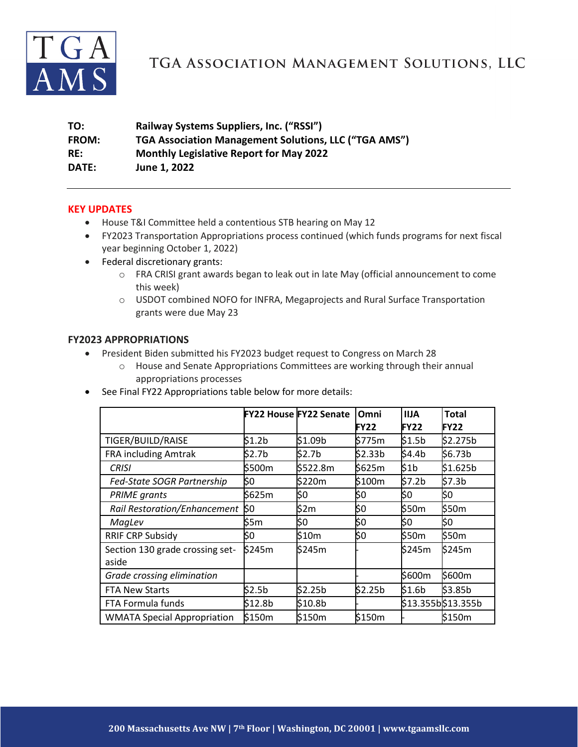

# TGA ASSOCIATION MANAGEMENT SOLUTIONS, LLC

| TO:   | Railway Systems Suppliers, Inc. ("RSSI")              |
|-------|-------------------------------------------------------|
| FROM: | TGA Association Management Solutions, LLC ("TGA AMS") |
| RE:   | <b>Monthly Legislative Report for May 2022</b>        |
| DATE: | June 1, 2022                                          |

#### **KEY UPDATES**

- House T&I Committee held a contentious STB hearing on May 12
- FY2023 Transportation Appropriations process continued (which funds programs for next fiscal year beginning October 1, 2022)
- Federal discretionary grants:
	- o FRA CRISI grant awards began to leak out in late May (official announcement to come this week)
	- o USDOT combined NOFO for INFRA, Megaprojects and Rural Surface Transportation grants were due May 23

#### **FY2023 APPROPRIATIONS**

- President Biden submitted his FY2023 budget request to Congress on March 28
	- o House and Senate Appropriations Committees are working through their annual appropriations processes
- See Final FY22 Appropriations table below for more details:

|                                     |         | <b>FY22 House FY22 Senate</b> | Omni        | <b>IIJA</b> | <b>Total</b>       |
|-------------------------------------|---------|-------------------------------|-------------|-------------|--------------------|
|                                     |         |                               | <b>FY22</b> | <b>FY22</b> | <b>FY22</b>        |
| TIGER/BUILD/RAISE                   | \$1.2b  | \$1.09b                       | \$775m      | \$1.5b      | \$2.275b           |
| <b>FRA including Amtrak</b>         | \$2.7b  | \$2.7 <sub>b</sub>            | \$2.33b     | \$4.4b      | \$6.73b            |
| <b>CRISI</b>                        | \$500m  | \$522.8m                      | \$625m      | \$1b        | \$1.625b           |
| Fed-State SOGR Partnership          | \$0     | \$220m                        | \$100m      | \$7.2b      | \$7.3b             |
| <b>PRIME</b> grants                 | \$625m  | \$0                           | \$0         | \$0         | \$0                |
| <b>Rail Restoration/Enhancement</b> | k٥      | \$2m                          | \$0         | \$50m       | \$50m              |
| MagLev                              | \$5m    | \$0                           | \$0         | \$0         | \$0                |
| <b>RRIF CRP Subsidy</b>             | \$0     | \$10m                         | \$0         | \$50m       | \$50m              |
| Section 130 grade crossing set-     | \$245m  | \$245m                        |             | \$245m      | \$245m             |
| aside                               |         |                               |             |             |                    |
| Grade crossing elimination          |         |                               |             | \$600m      | \$600m             |
| <b>FTA New Starts</b>               | \$2.5b  | \$2.25b                       | \$2.25b     | \$1.6b      | \$3.85b            |
| FTA Formula funds                   | \$12.8b | \$10.8b                       |             |             | \$13.355b\$13.355b |
| <b>WMATA Special Appropriation</b>  | \$150m  | \$150m                        | \$150m      |             | \$150m             |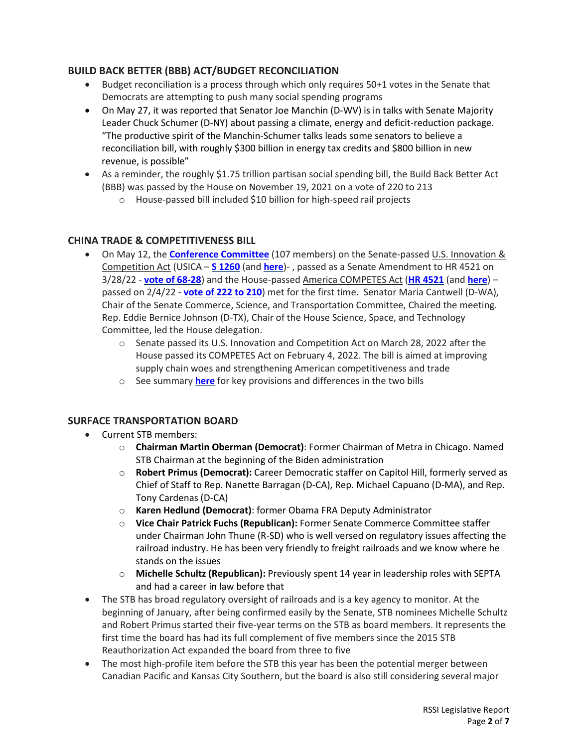# **BUILD BACK BETTER (BBB) ACT/BUDGET RECONCILIATION**

- Budget reconciliation is a process through which only requires 50+1 votes in the Senate that Democrats are attempting to push many social spending programs
- On May 27, it was reported that Senator Joe Manchin (D-WV) is in talks with Senate Majority Leader Chuck Schumer (D-NY) about passing a climate, energy and deficit-reduction package. "The productive spirit of the Manchin-Schumer talks leads some senators to believe a reconciliation bill, with roughly \$300 billion in energy tax credits and \$800 billion in new revenue, is possible"
- As a reminder, the roughly \$1.75 trillion partisan social spending bill, the Build Back Better Act (BBB) was passed by the House on November 19, 2021 on a vote of 220 to 213
	- o House-passed bill included \$10 billion for high-speed rail projects

## **CHINA TRADE & COMPETITIVENESS BILL**

- On May 12, the **[Conference Committee](https://www.commerce.senate.gov/2022/5/conference-committee-on-bipartisan-innovation-and-competition-legislation/09f47b9c-1609-4129-9704-5cde059883a3)** (107 members) on the Senate-passed U.S. Innovation & Competition Act (USICA – **[S 1260](https://www.congress.gov/bill/117th-congress/senate-bill/1260/text?q=%7B%22search%22%3A%5B%22S.1260%22%2C%22S.1260%22%5D%7D&r=1&s=3)** (and **[here](https://www.govinfo.gov/content/pkg/BILLS-117hr4521eas/pdf/BILLS-117hr4521eas.pdf)**)- , passed as a Senate Amendment to HR 4521 on 3/28/22 - **[vote of 68-28](https://www.senate.gov/legislative/LIS/roll_call_votes/vote1172/vote_117_2_00109.htm)**) and the House-passed America COMPETES Act (**[HR 4521](https://www.congress.gov/bill/117th-congress/house-bill/4521/text?q=%7B%22search%22%3A%5B%22HR4521%22%2C%22HR4521%22%5D%7D&r=1&s=5)** (and **[here](https://www.govinfo.gov/content/pkg/BILLS-117hr4521eh/pdf/BILLS-117hr4521eh.pdf)**) – passed on 2/4/22 - **[vote of 222 to 210](https://clerk.house.gov/Votes/202231)**) met for the first time. Senator Maria Cantwell (D-WA), Chair of the Senate Commerce, Science, and Transportation Committee, Chaired the meeting. Rep. Eddie Bernice Johnson (D-TX), Chair of the House Science, Space, and Technology Committee, led the House delegation.
	- o Senate passed its U.S. Innovation and Competition Act on March 28, 2022 after the House passed its COMPETES Act on February 4, 2022. The bill is aimed at improving supply chain woes and strengthening American competitiveness and trade
	- o See summary **[here](https://www.akingump.com/en/news-insights/america-competes-act-v-us-innovation-and-competition-actsummary-of-key-differences-and-takeaways-part-2.html)** for key provisions and differences in the two bills

## **SURFACE TRANSPORTATION BOARD**

- Current STB members:
	- o **Chairman Martin Oberman (Democrat)**: Former Chairman of Metra in Chicago. Named STB Chairman at the beginning of the Biden administration
	- o **Robert Primus (Democrat):** Career Democratic staffer on Capitol Hill, formerly served as Chief of Staff to Rep. Nanette Barragan (D-CA), Rep. Michael Capuano (D-MA), and Rep. Tony Cardenas (D-CA)
	- o **Karen Hedlund (Democrat)**: former Obama FRA Deputy Administrator
	- o **Vice Chair Patrick Fuchs (Republican):** Former Senate Commerce Committee staffer under Chairman John Thune (R-SD) who is well versed on regulatory issues affecting the railroad industry. He has been very friendly to freight railroads and we know where he stands on the issues
	- o **Michelle Schultz (Republican):** Previously spent 14 year in leadership roles with SEPTA and had a career in law before that
- The STB has broad regulatory oversight of railroads and is a key agency to monitor. At the beginning of January, after being confirmed easily by the Senate, STB nominees Michelle Schultz and Robert Primus started their five-year terms on the STB as board members. It represents the first time the board has had its full complement of five members since the 2015 STB Reauthorization Act expanded the board from three to five
- The most high-profile item before the STB this year has been the potential merger between Canadian Pacific and Kansas City Southern, but the board is also still considering several major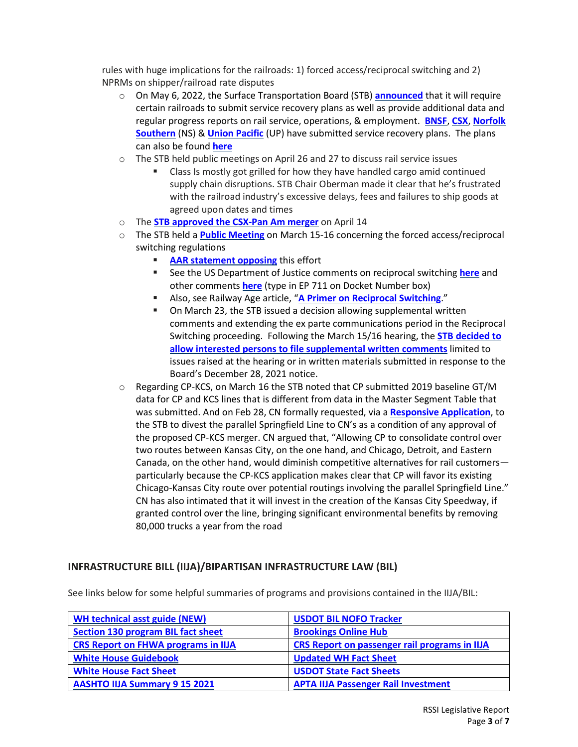rules with huge implications for the railroads: 1) forced access/reciprocal switching and 2) NPRMs on shipper/railroad rate disputes

- o On May 6, 2022, the Surface Transportation Board (STB) **[announced](https://www.stb.gov/news-communications/latest-news/pr-22-28/)** that it will require certain railroads to submit service recovery plans as well as provide additional data and regular progress reports on rail service, operations, & employment. **[BNSF](https://dcms-external.s3.amazonaws.com/DCMS_External_PROD/1653307618474/304582.pdf)**, **[CSX](https://www.railwayage.com/wp-content/uploads/2022/05/304582.pdf)**, **[Norfolk](https://www.railwayage.com/wp-content/uploads/2022/05/304583.pdf) [Southern](https://www.railwayage.com/wp-content/uploads/2022/05/304583.pdf)** (NS) & **Union [Pacific](https://www.railwayage.com/wp-content/uploads/2022/05/304578.pdf)** (UP) have submitted service recovery plans. The plans can also be found **[here](https://www.stb.gov/proceedings-actions/filings/)**
- $\circ$  The STB held public meetings on April 26 and 27 to discuss rail service issues
	- Class Is mostly got grilled for how they have handled cargo amid continued supply chain disruptions. STB Chair Oberman made it clear that he's frustrated with the railroad industry's excessive delays, fees and failures to ship goods at agreed upon dates and times
- o The **[STB approved the CSX-Pan Am](https://www.railwayage.com/regulatory/stb-approves-csx-pan-am-combination/) merger** on April 14
- o The STB held a **Public [Meeting](https://www.govinfo.gov/content/pkg/FR-2022-01-03/pdf/2021-28396.pdf)** on March 15-16 concerning the forced access/reciprocal switching regulations
	- **AAR [statement](https://www.aar.org/forced-switching?utm_source=The+Signal&utm_campaign=a38005e484-EMAIL_CAMPAIGN_2018_01_16_COPY_01&utm_medium=email&utm_term=0_70b8080426-a38005e484-49720605) opposing** this effort
	- See the US Department of Justice comments on reciprocal switching **[here](https://www.justice.gov/atr/page/file/1479511/download)** and other comments **[here](https://www.stb.gov/proceedings-actions/search-stb-records/)** (type in EP 711 on Docket Number box)
	- Also, see Railway Age article, "**A Primer on [Reciprocal](https://www.railwayage.com/regulatory/a-primer-on-reciprocal-switching/?utm_source=&utm_medium=email&utm_campaign=31454) Switching**."
	- On March 23, the STB issued a decision allowing supplemental written comments and extending the ex parte communications period in the Reciprocal Switching proceeding. Following the March 15/16 hearing, the **STB [decided](https://www.stb.gov/news-communications/latest-news/pr-22-19/) to allow interested persons to file [supplemental](https://www.stb.gov/news-communications/latest-news/pr-22-19/) written comments** limited to issues raised at the hearing or in written materials submitted in response to the Board's December 28, 2021 notice.
- $\circ$  Regarding CP-KCS, on March 16 the STB noted that CP submitted 2019 baseline GT/M data for CP and KCS lines that is different from data in the Master Segment Table that was submitted. And on Feb 28, CN formally requested, via a **Responsive [Application](https://dcms-external.s3.amazonaws.com/DCMS_External_PROD/1646172009341/304041.pdf)**, to the STB to divest the parallel Springfield Line to CN's as a condition of any approval of the proposed CP-KCS merger. CN argued that, "Allowing CP to consolidate control over two routes between Kansas City, on the one hand, and Chicago, Detroit, and Eastern Canada, on the other hand, would diminish competitive alternatives for rail customers particularly because the CP-KCS application makes clear that CP will favor its existing Chicago-Kansas City route over potential routings involving the parallel Springfield Line." CN has also intimated that it will invest in the creation of the Kansas City Speedway, if granted control over the line, bringing significant environmental benefits by removing 80,000 trucks a year from the road

## **INFRASTRUCTURE BILL (IIJA)/BIPARTISAN INFRASTRUCTURE LAW (BIL)**

See links below for some helpful summaries of programs and provisions contained in the IIJA/BIL:

| <b>WH technical asst guide (NEW)</b>       | <b>USDOT BIL NOFO Tracker</b>                        |  |  |
|--------------------------------------------|------------------------------------------------------|--|--|
| <b>Section 130 program BIL fact sheet</b>  | <b>Brookings Online Hub</b>                          |  |  |
| <b>CRS Report on FHWA programs in IIJA</b> | <b>CRS Report on passenger rail programs in IIJA</b> |  |  |
| <b>White House Guidebook</b>               | <b>Updated WH Fact Sheet</b>                         |  |  |
| <b>White House Fact Sheet</b>              | <b>USDOT State Fact Sheets</b>                       |  |  |
| <b>AASHTO IIJA Summary 9 15 2021</b>       | <b>APTA IIJA Passenger Rail Investment</b>           |  |  |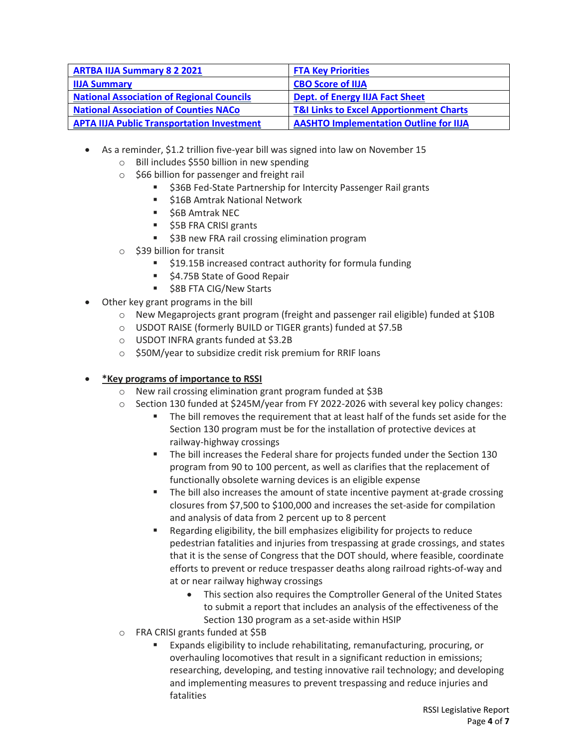| <b>ARTBA IIJA Summary 8 2 2021</b>                | <b>FTA Key Priorities</b>                          |
|---------------------------------------------------|----------------------------------------------------|
| <b>IIJA Summary</b>                               | <b>CBO Score of IIJA</b>                           |
| <b>National Association of Regional Councils</b>  | <b>Dept. of Energy IIJA Fact Sheet</b>             |
| <b>National Association of Counties NACo</b>      | <b>T&amp;I Links to Excel Apportionment Charts</b> |
| <b>APTA IIJA Public Transportation Investment</b> | <b>AASHTO Implementation Outline for IIJA</b>      |

- As a reminder, \$1.2 trillion five-year bill was signed into law on November 15
	- o Bill includes \$550 billion in new spending
	- o \$66 billion for passenger and freight rail
		- \$36B Fed-State Partnership for Intercity Passenger Rail grants
		- **516B Amtrak National Network**
		- **56B Amtrak NEC**
		- $\overline{\phantom{a}}$  \$5B FRA CRISI grants
		- **53B new FRA rail crossing elimination program**
	- o \$39 billion for transit
		- \$19.15B increased contract authority for formula funding
		- \$4.75B State of Good Repair
		- \$8B FTA CIG/New Starts
- Other key grant programs in the bill
	- o New Megaprojects grant program (freight and passenger rail eligible) funded at \$10B
	- o USDOT RAISE (formerly BUILD or TIGER grants) funded at \$7.5B
	- o USDOT INFRA grants funded at \$3.2B
	- o \$50M/year to subsidize credit risk premium for RRIF loans

#### • **\*Key programs of importance to RSSI**

- 
- o New rail crossing elimination grant program funded at \$3B<br>
o Section 130 funded at \$245M/vear from FY 2022-2026 with Section 130 funded at \$245M/year from FY 2022-2026 with several key policy changes:
	- The bill removes the requirement that at least half of the funds set aside for the Section 130 program must be for the installation of protective devices at railway-highway crossings
	- The bill increases the Federal share for projects funded under the Section 130 program from 90 to 100 percent, as well as clarifies that the replacement of functionally obsolete warning devices is an eligible expense
	- **The bill also increases the amount of state incentive payment at-grade crossing** closures from \$7,500 to \$100,000 and increases the set-aside for compilation and analysis of data from 2 percent up to 8 percent
	- Regarding eligibility, the bill emphasizes eligibility for projects to reduce pedestrian fatalities and injuries from trespassing at grade crossings, and states that it is the sense of Congress that the DOT should, where feasible, coordinate efforts to prevent or reduce trespasser deaths along railroad rights-of-way and at or near railway highway crossings
		- This section also requires the Comptroller General of the United States to submit a report that includes an analysis of the effectiveness of the Section 130 program as a set-aside within HSIP
- o FRA CRISI grants funded at \$5B
	- Expands eligibility to include rehabilitating, remanufacturing, procuring, or overhauling locomotives that result in a significant reduction in emissions; researching, developing, and testing innovative rail technology; and developing and implementing measures to prevent trespassing and reduce injuries and fatalities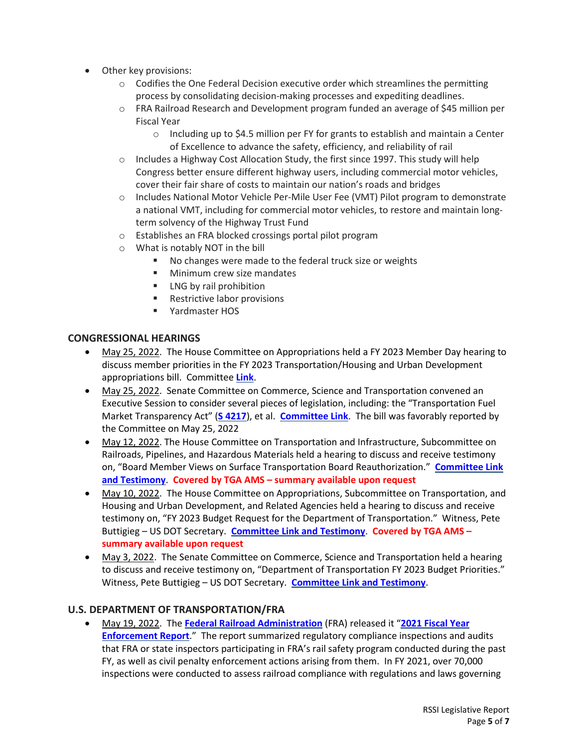- Other key provisions:
	- $\circ$  Codifies the One Federal Decision executive order which streamlines the permitting process by consolidating decision-making processes and expediting deadlines.
	- o FRA Railroad Research and Development program funded an average of \$45 million per Fiscal Year
		- $\circ$  Including up to \$4.5 million per FY for grants to establish and maintain a Center of Excellence to advance the safety, efficiency, and reliability of rail
	- $\circ$  Includes a Highway Cost Allocation Study, the first since 1997. This study will help Congress better ensure different highway users, including commercial motor vehicles, cover their fair share of costs to maintain our nation's roads and bridges
	- o Includes National Motor Vehicle Per-Mile User Fee (VMT) Pilot program to demonstrate a national VMT, including for commercial motor vehicles, to restore and maintain longterm solvency of the Highway Trust Fund
	- o Establishes an FRA blocked crossings portal pilot program
	- $\circ$  What is notably NOT in the bill
		- No changes were made to the federal truck size or weights
		- **Minimum crew size mandates**
		- **LNG** by rail prohibition
		- **Restrictive labor provisions**
		- Yardmaster HOS

## **CONGRESSIONAL HEARINGS**

- May 25, 2022. The House Committee on Appropriations held a FY 2023 Member Day hearing to discuss member priorities in the FY 2023 Transportation/Housing and Urban Development appropriations bill. Committee **[Link](https://appropriations.house.gov/events/hearings/fiscal-year-2023-member-day)**.
- May 25, 2022. Senate Committee on Commerce, Science and Transportation convened an Executive Session to consider several pieces of legislation, including: the "Transportation Fuel Market Transparency Act" (**S [4217](https://www.cantwell.senate.gov/imo/media/doc/S.4217%20Transportation%20Fuel%20Market%20Transparency%20Act%20GOE22305.pdf)**), et al. **[Committee](https://www.commerce.senate.gov/2022/5/executive-session/7aae60be-bc26-47a8-8eaf-872d59847309) Link**. The bill was favorably reported by the Committee on May 25, 2022
- May 12, 2022. The House Committee on Transportation and Infrastructure, Subcommittee on Railroads, Pipelines, and Hazardous Materials held a hearing to discuss and receive testimony on, "Board Member Views on Surface Transportation Board Reauthorization." **[Committee](https://transportation.house.gov/committee-activity/hearings/board-member-views-on-surface-transportation-board-reauthorization) Link and [Testimony](https://transportation.house.gov/committee-activity/hearings/board-member-views-on-surface-transportation-board-reauthorization)**. **Covered by TGA AMS – summary available upon request**
- May 10, 2022. The House Committee on Appropriations, Subcommittee on Transportation, and Housing and Urban Development, and Related Agencies held a hearing to discuss and receive testimony on, "FY 2023 Budget Request for the Department of Transportation." Witness, Pete Buttigieg – US DOT Secretary. **[Committee](https://appropriations.house.gov/events/hearings/fy-2023-budget-request-for-the-department-of-transportation) Link and Testimony**. **Covered by TGA AMS – summary available upon request**
- May 3, 2022. The Senate Committee on Commerce, Science and Transportation held a hearing to discuss and receive testimony on, "Department of Transportation FY 2023 Budget Priorities." Witness, Pete Buttigieg – US DOT Secretary. **[Committee](https://www.commerce.senate.gov/2022/5/department-of-transportation-fiscal-year-2023-budget-priorities) Link and Testimony**.

## **U.S. DEPARTMENT OF TRANSPORTATION/FRA**

• May 19, 2022. The **Federal Railroad [Administration](https://railroads.dot.gov/newsroom/press-releases/federal-railroad-administration-releases-2021-fiscal-year-enforcement)** (FRA) released it "**2021 [Fiscal](https://railroads.dot.gov/sites/fra.dot.gov/files/2022-05/FRA%2007-22%202021%20Enforcement%20Report%20OST%20Final.pdf) Year [Enforcement](https://railroads.dot.gov/sites/fra.dot.gov/files/2022-05/FRA%2007-22%202021%20Enforcement%20Report%20OST%20Final.pdf) Report**." The report summarized regulatory compliance inspections and audits that FRA or state inspectors participating in FRA's rail safety program conducted during the past FY, as well as civil penalty enforcement actions arising from them. In FY 2021, over 70,000 inspections were conducted to assess railroad compliance with regulations and laws governing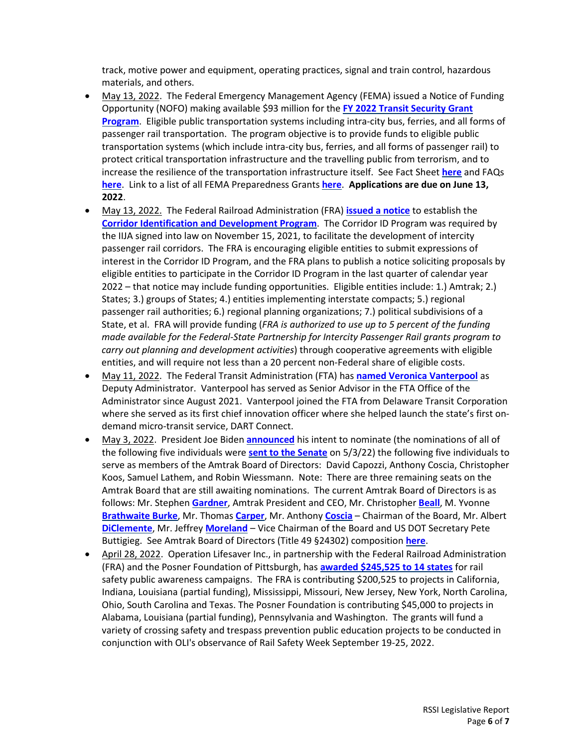track, motive power and equipment, operating practices, signal and train control, hazardous materials, and others.

- May 13, 2022. The Federal Emergency Management Agency (FEMA) issued a Notice of Funding Opportunity (NOFO) making available \$93 million for the **FY 2022 Transit [Security](https://www.fema.gov/print/pdf/node/636197) Grant [Program](https://www.fema.gov/print/pdf/node/636197)**. Eligible public transportation systems including intra-city bus, ferries, and all forms of passenger rail transportation. The program objective is to provide funds to eligible public transportation systems (which include intra-city bus, ferries, and all forms of passenger rail) to protect critical transportation infrastructure and the travelling public from terrorism, and to increase the resilience of the transportation infrastructure itself. See Fact Sheet **[here](https://www.fema.gov/fact-sheet/fiscal-year-2022-transit-security-grant-program-fact-sheet)** and FAQs **[here](https://www.fema.gov/fact-sheet/fiscal-year-2022-transit-security-grant-program-faqs)**. Link to a list of all FEMA Preparedness Grants **[here](https://www.fema.gov/grants/preparedness)**. **Applications are due on June 13, 2022**.
- May 13, 2022. The Federal Railroad Administration (FRA) **[issued](https://railroads.dot.gov/newsroom/press-releases/fra-announces-new-bipartisan-infrastructure-law-program-guide-nationwide-0) a notice** to establish the **Corridor Identification and [Development](https://www.govinfo.gov/content/pkg/FR-2022-05-13/pdf/2022-10250.pdf?utm_medium=email&utm_campaign=subscription+mailing+list&utm_source=federalregister.gov) Program**. The Corridor ID Program was required by the IIJA signed into law on November 15, 2021, to facilitate the development of intercity passenger rail corridors. The FRA is encouraging eligible entities to submit expressions of interest in the Corridor ID Program, and the FRA plans to publish a notice soliciting proposals by eligible entities to participate in the Corridor ID Program in the last quarter of calendar year 2022 – that notice may include funding opportunities. Eligible entities include: 1.) Amtrak; 2.) States; 3.) groups of States; 4.) entities implementing interstate compacts; 5.) regional passenger rail authorities; 6.) regional planning organizations; 7.) political subdivisions of a State, et al. FRA will provide funding (*FRA is authorized to use up to 5 percent of the funding made available for the Federal-State Partnership for Intercity Passenger Rail grants program to carry out planning and development activities*) through cooperative agreements with eligible entities, and will require not less than a 20 percent non-Federal share of eligible costs.
- May 11, 2022. The Federal Transit Administration (FTA) has **named Veronica [Vanterpool](https://www.transit.dot.gov/about/news/federal-transit-administration-announces-veronica-vanterpool-deputy-administrator)** as Deputy Administrator. Vanterpool has served as Senior Advisor in the FTA Office of the Administrator since August 2021. Vanterpool joined the FTA from Delaware Transit Corporation where she served as its first chief innovation officer where she helped launch the state's first ondemand micro-transit service, DART Connect.
- May 3, 2022. President Joe Biden **[announced](https://www.whitehouse.gov/briefing-room/statements-releases/2022/04/29/president-biden-announces-amtrak-board-member-nominees/)** his intent to nominate (the nominations of all of the following five individuals were **sent to the [Senate](https://www.whitehouse.gov/briefing-room/statements-releases/2022/05/03/press-release-nominations-sent-to-the-senate-12/)** on 5/3/22) the following five individuals to serve as members of the Amtrak Board of Directors: David Capozzi, Anthony Coscia, Christopher Koos, Samuel Lathem, and Robin Wiessmann. Note: There are three remaining seats on the Amtrak Board that are still awaiting nominations. The current Amtrak Board of Directors is as follows: Mr. Stephen **[Gardner](https://www.amtrak.com/about-amtrak/executive-leadership/stephen-gardner.html)**, Amtrak President and CEO, Mr. Christopher **[Beall](https://www.amtrak.com/about-amtrak/board-of-directors/christopher-beall.html)**, M. Yvonne **[Brathwaite](https://www.amtrak.com/about-amtrak/board-of-directors/yvonne-brathwaite-burke.html) Burke**, Mr. Thomas **[Carper](https://www.amtrak.com/about-amtrak/board-of-directors/thomas-carper.html)**, Mr. Anthony **[Coscia](https://www.amtrak.com/about-amtrak/board-of-directors/anthony-coscia.html)** – Chairman of the Board, Mr. Albert **[DiClemente](https://www.amtrak.com/about-amtrak/board-of-directors/albert-diclemente.html)**, Mr. Jeffrey **[Moreland](https://www.amtrak.com/about-amtrak/board-of-directors/jeffrey-moreland.html)** – Vice Chairman of the Board and US DOT Secretary Pete Buttigieg. See Amtrak Board of Directors (Title 49 §24302) composition **[here](http://uscode.house.gov/view.xhtml?req=granuleid:USC-prelim-title49-section24302&num=0&edition=prelim)**.
- April 28, 2022. Operation Lifesaver Inc., in partnership with the Federal Railroad Administration (FRA) and the Posner Foundation of Pittsburgh, has **awarded [\\$245,525](https://oli.org/about-us/news/operation-lifesaver-inc-awards-2455k-rail-safety-public-awareness-campaigns-14-states) to 14 states** for rail safety public awareness campaigns. The FRA is contributing \$200,525 to projects in California, Indiana, Louisiana (partial funding), Mississippi, Missouri, New Jersey, New York, North Carolina, Ohio, South Carolina and Texas. The Posner Foundation is contributing \$45,000 to projects in Alabama, Louisiana (partial funding), Pennsylvania and Washington. The grants will fund a variety of crossing safety and trespass prevention public education projects to be conducted in conjunction with OLI's observance of Rail Safety Week September 19-25, 2022.